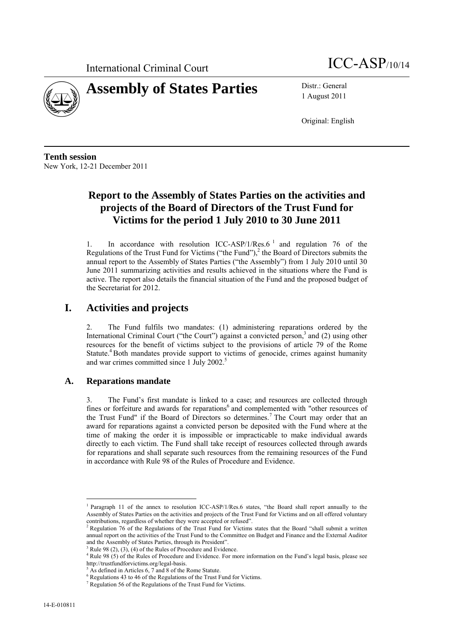



1 August 2011

Original: English

**Tenth session**  New York, 12-21 December 2011

# **Report to the Assembly of States Parties on the activities and projects of the Board of Directors of the Trust Fund for Victims for the period 1 July 2010 to 30 June 2011**

1. In accordance with resolution ICC-ASP/1/Res.6<sup> $1$ </sup> and regulation 76 of the Regulations of the Trust Fund for Victims ("the Fund"), $^2$  the Board of Directors submits the annual report to the Assembly of States Parties ("the Assembly") from 1 July 2010 until 30 June 2011 summarizing activities and results achieved in the situations where the Fund is active. The report also details the financial situation of the Fund and the proposed budget of the Secretariat for 2012.

## **I. Activities and projects**

2. The Fund fulfils two mandates: (1) administering reparations ordered by the International Criminal Court ("the Court") against a convicted person,<sup>3</sup> and (2) using other resources for the benefit of victims subject to the provisions of article 79 of the Rome Statute.<sup>4</sup> Both mandates provide support to victims of genocide, crimes against humanity and war crimes committed since 1 July 2002.<sup>5</sup>

### **A. Reparations mandate**

3. The Fund's first mandate is linked to a case; and resources are collected through fines or forfeiture and awards for reparations<sup>6</sup> and complemented with "other resources of the Trust Fund" if the Board of Directors so determines.<sup>7</sup> The Court may order that an award for reparations against a convicted person be deposited with the Fund where at the time of making the order it is impossible or impracticable to make individual awards directly to each victim. The Fund shall take receipt of resources collected through awards for reparations and shall separate such resources from the remaining resources of the Fund in accordance with Rule 98 of the Rules of Procedure and Evidence.

 $\overline{a}$ 

<sup>&</sup>lt;sup>1</sup> Paragraph 11 of the annex to resolution ICC-ASP/1/Res.6 states, "the Board shall report annually to the Assembly of States Parties on the activities and projects of the Trust Fund for Victims and on all offered voluntary contributions, regardless of whether they were accepted or refused".

<sup>&</sup>lt;sup>2</sup> Regulation 76 of the Regulations of the Trust Fund for Victims states that the Board "shall submit a written annual report on the activities of the Trust Fund to the Committee on Budget and Finance and the External Auditor and the Assembly of States Parties, through its President".

Rule 98 (2), (3), (4) of the Rules of Procedure and Evidence.

<sup>&</sup>lt;sup>4</sup> Rule 98 (5) of the Rules of Procedure and Evidence. For more information on the Fund's legal basis, please see http://trustfundforvictims.org/legal-basis. 5

As defined in Articles 6, 7 and 8 of the Rome Statute.

 $^6$  Regulations 43 to 46 of the Regulations of the Trust Fund for Victims.

 $\frac{7}{7}$  Regulation 56 of the Regulations of the Trust Fund for Victims.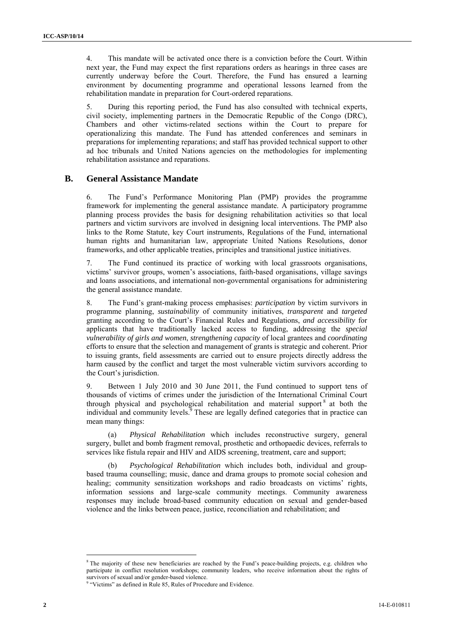4. This mandate will be activated once there is a conviction before the Court. Within next year, the Fund may expect the first reparations orders as hearings in three cases are currently underway before the Court. Therefore, the Fund has ensured a learning environment by documenting programme and operational lessons learned from the rehabilitation mandate in preparation for Court-ordered reparations.

5. During this reporting period, the Fund has also consulted with technical experts, civil society, implementing partners in the Democratic Republic of the Congo (DRC), Chambers and other victims-related sections within the Court to prepare for operationalizing this mandate. The Fund has attended conferences and seminars in preparations for implementing reparations; and staff has provided technical support to other ad hoc tribunals and United Nations agencies on the methodologies for implementing rehabilitation assistance and reparations.

### **B. General Assistance Mandate**

6. The Fund's Performance Monitoring Plan (PMP) provides the programme framework for implementing the general assistance mandate. A participatory programme planning process provides the basis for designing rehabilitation activities so that local partners and victim survivors are involved in designing local interventions. The PMP also links to the Rome Statute, key Court instruments, Regulations of the Fund, international human rights and humanitarian law, appropriate United Nations Resolutions, donor frameworks, and other applicable treaties, principles and transitional justice initiatives.

7. The Fund continued its practice of working with local grassroots organisations, victims' survivor groups, women's associations, faith-based organisations, village savings and loans associations, and international non-governmental organisations for administering the general assistance mandate.

8. The Fund's grant-making process emphasises: *participation* by victim survivors in programme planning, *sustainability* of community initiatives, *transparent* and *targeted*  granting according to the Court's Financial Rules and Regulations, *and accessibility* for applicants that have traditionally lacked access to funding, addressing the *special vulnerability of girls and women*, *strengthening capacity* of local grantees and *coordinating* efforts to ensure that the selection and management of grants is strategic and coherent. Prior to issuing grants, field assessments are carried out to ensure projects directly address the harm caused by the conflict and target the most vulnerable victim survivors according to the Court's jurisdiction.

9. Between 1 July 2010 and 30 June 2011, the Fund continued to support tens of thousands of victims of crimes under the jurisdiction of the International Criminal Court through physical and psychological rehabilitation and material support<sup>8</sup> at both the individual and community levels.<sup>9</sup> These are legally defined categories that in practice can mean many things:

(a) *Physical Rehabilitation* which includes reconstructive surgery, general surgery, bullet and bomb fragment removal, prosthetic and orthopaedic devices, referrals to services like fistula repair and HIV and AIDS screening, treatment, care and support;

(b) *Psychological Rehabilitation* which includes both, individual and groupbased trauma counselling; music, dance and drama groups to promote social cohesion and healing; community sensitization workshops and radio broadcasts on victims' rights, information sessions and large-scale community meetings. Community awareness responses may include broad-based community education on sexual and gender-based violence and the links between peace, justice, reconciliation and rehabilitation; and

 $\overline{\phantom{a}}$ 

<sup>&</sup>lt;sup>8</sup> The majority of these new beneficiaries are reached by the Fund's peace-building projects, e.g. children who participate in conflict resolution workshops; community leaders, who receive information about the rights of

survivors of sexual and/or gender-based violence.<br><sup>9</sup> "Victims" as defined in Rule 85, Rules of Procedure and Evidence.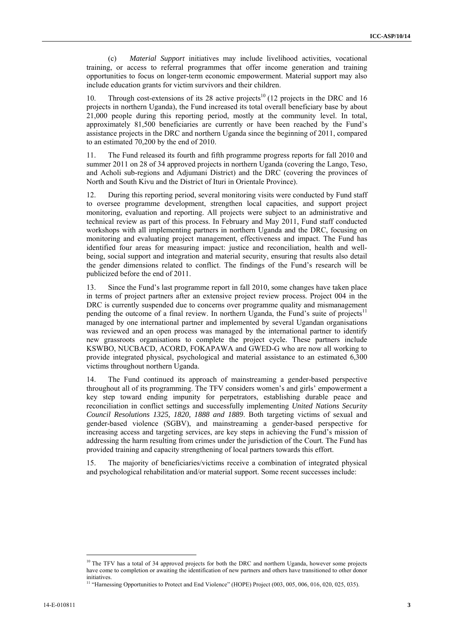(c) *Material Support* initiatives may include livelihood activities, vocational training, or access to referral programmes that offer income generation and training opportunities to focus on longer-term economic empowerment. Material support may also include education grants for victim survivors and their children.

10. Through cost-extensions of its 28 active projects<sup>10</sup> (12 projects in the DRC and 16 projects in northern Uganda), the Fund increased its total overall beneficiary base by about 21,000 people during this reporting period, mostly at the community level. In total, approximately 81,500 beneficiaries are currently or have been reached by the Fund's assistance projects in the DRC and northern Uganda since the beginning of 2011, compared to an estimated 70,200 by the end of 2010.

11. The Fund released its fourth and fifth programme progress reports for fall 2010 and summer 2011 on 28 of 34 approved projects in northern Uganda (covering the Lango, Teso, and Acholi sub-regions and Adjumani District) and the DRC (covering the provinces of North and South Kivu and the District of Ituri in Orientale Province).

12. During this reporting period, several monitoring visits were conducted by Fund staff to oversee programme development, strengthen local capacities, and support project monitoring, evaluation and reporting. All projects were subject to an administrative and technical review as part of this process. In February and May 2011, Fund staff conducted workshops with all implementing partners in northern Uganda and the DRC, focusing on monitoring and evaluating project management, effectiveness and impact. The Fund has identified four areas for measuring impact: justice and reconciliation, health and wellbeing, social support and integration and material security, ensuring that results also detail the gender dimensions related to conflict. The findings of the Fund's research will be publicized before the end of 2011.

13. Since the Fund's last programme report in fall 2010, some changes have taken place in terms of project partners after an extensive project review process. Project 004 in the DRC is currently suspended due to concerns over programme quality and mismanagement pending the outcome of a final review. In northern Uganda, the Fund's suite of projects<sup>11</sup> managed by one international partner and implemented by several Ugandan organisations was reviewed and an open process was managed by the international partner to identify new grassroots organisations to complete the project cycle. These partners include KSWBO, NUCBACD, ACORD, FOKAPAWA and GWED-G who are now all working to provide integrated physical, psychological and material assistance to an estimated 6,300 victims throughout northern Uganda.

14. The Fund continued its approach of mainstreaming a gender-based perspective throughout all of its programming. The TFV considers women's and girls' empowerment a key step toward ending impunity for perpetrators, establishing durable peace and reconciliation in conflict settings and successfully implementing *United Nations Security Council Resolutions 1325, 1820, 1888 and 1889*. Both targeting victims of sexual and gender-based violence (SGBV), and mainstreaming a gender-based perspective for increasing access and targeting services, are key steps in achieving the Fund's mission of addressing the harm resulting from crimes under the jurisdiction of the Court. The Fund has provided training and capacity strengthening of local partners towards this effort.

15. The majority of beneficiaries/victims receive a combination of integrated physical and psychological rehabilitation and/or material support. Some recent successes include:

 $\overline{\phantom{a}}$ 

<sup>&</sup>lt;sup>10</sup> The TFV has a total of 34 approved projects for both the DRC and northern Uganda, however some projects have come to completion or awaiting the identification of new partners and others have transitioned to other donor initiatives.

<sup>&</sup>lt;sup>11</sup> "Harnessing Opportunities to Protect and End Violence" (HOPE) Project (003, 005, 006, 016, 020, 025, 035).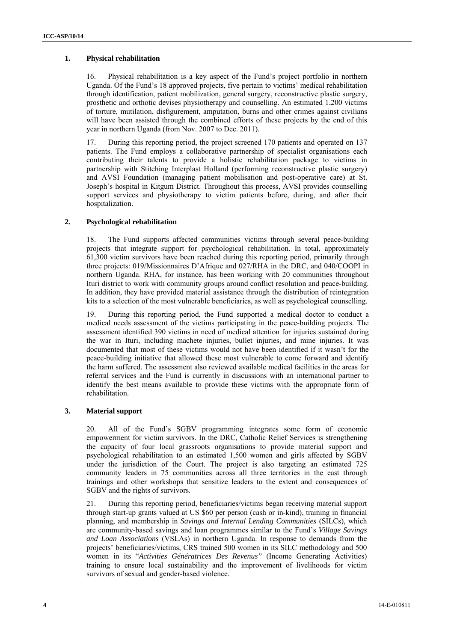#### **1. Physical rehabilitation**

16. Physical rehabilitation is a key aspect of the Fund's project portfolio in northern Uganda. Of the Fund's 18 approved projects, five pertain to victims' medical rehabilitation through identification, patient mobilization, general surgery, reconstructive plastic surgery, prosthetic and orthotic devises physiotherapy and counselling. An estimated 1,200 victims of torture, mutilation, disfigurement, amputation, burns and other crimes against civilians will have been assisted through the combined efforts of these projects by the end of this year in northern Uganda (from Nov. 2007 to Dec. 2011).

17. During this reporting period, the project screened 170 patients and operated on 137 patients. The Fund employs a collaborative partnership of specialist organisations each contributing their talents to provide a holistic rehabilitation package to victims in partnership with Stitching Interplast Holland (performing reconstructive plastic surgery) and AVSI Foundation (managing patient mobilisation and post-operative care) at St. Joseph's hospital in Kitgum District. Throughout this process, AVSI provides counselling support services and physiotherapy to victim patients before, during, and after their hospitalization.

#### **2. Psychological rehabilitation**

18. The Fund supports affected communities victims through several peace-building projects that integrate support for psychological rehabilitation. In total, approximately 61,300 victim survivors have been reached during this reporting period, primarily through three projects: 019/Missionnaires D'Afrique and 027/RHA in the DRC, and 040/COOPI in northern Uganda. RHA, for instance, has been working with 20 communities throughout Ituri district to work with community groups around conflict resolution and peace-building. In addition, they have provided material assistance through the distribution of reintegration kits to a selection of the most vulnerable beneficiaries, as well as psychological counselling.

19. During this reporting period, the Fund supported a medical doctor to conduct a medical needs assessment of the victims participating in the peace-building projects. The assessment identified 390 victims in need of medical attention for injuries sustained during the war in Ituri, including machete injuries, bullet injuries, and mine injuries. It was documented that most of these victims would not have been identified if it wasn't for the peace-building initiative that allowed these most vulnerable to come forward and identify the harm suffered. The assessment also reviewed available medical facilities in the areas for referral services and the Fund is currently in discussions with an international partner to identify the best means available to provide these victims with the appropriate form of rehabilitation.

#### **3. Material support**

20. All of the Fund's SGBV programming integrates some form of economic empowerment for victim survivors. In the DRC, Catholic Relief Services is strengthening the capacity of four local grassroots organisations to provide material support and psychological rehabilitation to an estimated 1,500 women and girls affected by SGBV under the jurisdiction of the Court. The project is also targeting an estimated 725 community leaders in 75 communities across all three territories in the east through trainings and other workshops that sensitize leaders to the extent and consequences of SGBV and the rights of survivors.

21. During this reporting period, beneficiaries/victims began receiving material support through start-up grants valued at US \$60 per person (cash or in-kind), training in financial planning, and membership in *Savings and Internal Lending Communities* (SILCs), which are community-based savings and loan programmes similar to the Fund's *Village Savings and Loan Associations* (VSLAs) in northern Uganda. In response to demands from the projects' beneficiaries/victims, CRS trained 500 women in its SILC methodology and 500 women in its "*Activities Génératrices Des Revenus"* (Income Generating Activities) training to ensure local sustainability and the improvement of livelihoods for victim survivors of sexual and gender-based violence.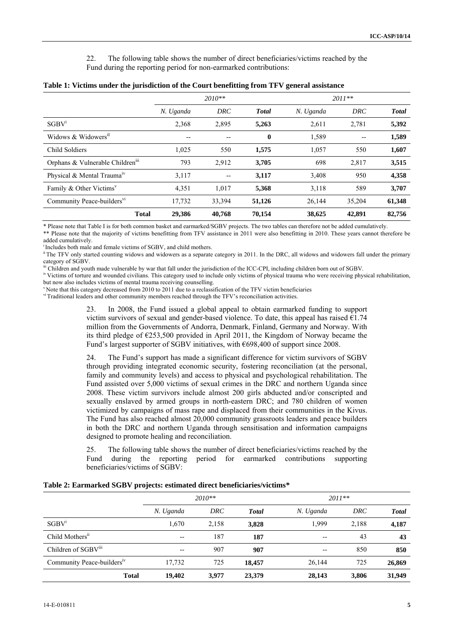22. The following table shows the number of direct beneficiaries/victims reached by the Fund during the reporting period for non-earmarked contributions:

|                                                  | $2010**$  |                          | $2011**$     |           |        |              |
|--------------------------------------------------|-----------|--------------------------|--------------|-----------|--------|--------------|
|                                                  | N. Uganda | DRC                      | <b>Total</b> | N. Uganda | DRC    | <b>Total</b> |
| SGBV <sup>1</sup>                                | 2,368     | 2,895                    | 5,263        | 2,611     | 2,781  | 5,392        |
| Widows & Widowers <sup>iI</sup>                  | --        | $- -$                    | $\bf{0}$     | 1,589     | $- -$  | 1,589        |
| Child Soldiers                                   | 1,025     | 550                      | 1,575        | 1,057     | 550    | 1,607        |
| Orphans & Vulnerable Children <sup>111</sup>     | 793       | 2,912                    | 3,705        | 698       | 2,817  | 3,515        |
| Physical & Mental Trauma <sup>1V</sup>           | 3,117     | $\overline{\phantom{m}}$ | 3,117        | 3,408     | 950    | 4,358        |
| Family & Other Victims <sup><math>v</math></sup> | 4,351     | 1,017                    | 5,368        | 3,118     | 589    | 3,707        |
| Community Peace-builders <sup>vi</sup>           | 17,732    | 33,394                   | 51,126       | 26,144    | 35,204 | 61,348       |
| <b>Total</b>                                     | 29,386    | 40,768                   | 70.154       | 38,625    | 42,891 | 82,756       |

|  | Table 1: Victims under the jurisdiction of the Court benefitting from TFV general assistance |  |  |
|--|----------------------------------------------------------------------------------------------|--|--|
|--|----------------------------------------------------------------------------------------------|--|--|

\* Please note that Table I is for both common basket and earmarked/SGBV projects. The two tables can therefore not be added cumulatively. \*\* Please note that the majority of victims benefitting from TFV assistance in 2011 were also benefitting in 2010. These years cannot therefore be

added cumulatively.<br><sup>i</sup> Includes both male and female victims of SGBV, and child mothers.

<sup>ii</sup> The TFV only started counting widows and widowers as a separate category in 2011. In the DRC, all widows and widowers fall under the primary

category of SGBV.<br>iii Children and youth made vulnerable by war that fall under the jurisdiction of the ICC-CPI, including children born out of SGBV.

iv Victims of torture and wounded civilians. This category used to include only victims of physical trauma who were receiving physical rehabilitation, but now also includes victims of mental trauma receiving counselling.<br>Viole that this category decreased from 2010 to 2011 due to a reclassification of the TFV victim beneficiaries

<sup>vi</sup> Traditional leaders and other community members reached through the TFV's reconciliation activities.

23. In 2008, the Fund issued a global appeal to obtain earmarked funding to support victim survivors of sexual and gender-based violence. To date, this appeal has raised  $\epsilon$ 1.74 million from the Governments of Andorra, Denmark, Finland, Germany and Norway. With its third pledge of €253,500 provided in April 2011, the Kingdom of Norway became the Fund's largest supporter of SGBV initiatives, with €698,400 of support since 2008.

24. The Fund's support has made a significant difference for victim survivors of SGBV through providing integrated economic security, fostering reconciliation (at the personal, family and community levels) and access to physical and psychological rehabilitation. The Fund assisted over 5,000 victims of sexual crimes in the DRC and northern Uganda since 2008. These victim survivors include almost 200 girls abducted and/or conscripted and sexually enslaved by armed groups in north-eastern DRC; and 780 children of women victimized by campaigns of mass rape and displaced from their communities in the Kivus. The Fund has also reached almost 20,000 community grassroots leaders and peace builders in both the DRC and northern Uganda through sensitisation and information campaigns designed to promote healing and reconciliation.

25. The following table shows the number of direct beneficiaries/victims reached by the Fund during the reporting period for earmarked contributions supporting beneficiaries/victims of SGBV:

|                                        | $2010**$       |       | $2011**$     |                          |       |               |
|----------------------------------------|----------------|-------|--------------|--------------------------|-------|---------------|
|                                        | N. Uganda      | DRC   | <b>Total</b> | N. Uganda                | DRC   | <b>T</b> otal |
| SGBV <sup>i</sup>                      | 1,670          | 2,158 | 3,828        | 1,999                    | 2,188 | 4,187         |
| Child Mothers <sup>11</sup>            | $\overline{a}$ | 187   | 187          | $\overline{\phantom{m}}$ | 43    | 43            |
| Children of SGBViii                    | $- -$          | 907   | 907          | $- -$                    | 850   | 850           |
| Community Peace-builders <sup>1V</sup> | 17,732         | 725   | 18.457       | 26,144                   | 725   | 26,869        |
| <b>Total</b>                           | 19.402         | 3,977 | 23,379       | 28,143                   | 3,806 | 31,949        |

#### **Table 2: Earmarked SGBV projects: estimated direct beneficiaries/victims***\**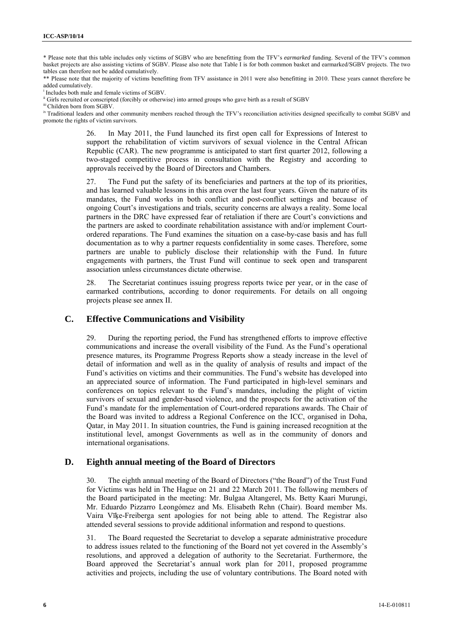\* Please note that this table includes only victims of SGBV who are benefitting from the TFV's *earmarked* funding. Several of the TFV's common basket projects are also assisting victims of SGBV. Please also note that Table I is for both common basket and earmarked/SGBV projects. The two tables can therefore not be added cumulatively.

\*\* Please note that the majority of victims benefitting from TFV assistance in 2011 were also benefitting in 2010. These years cannot therefore be added cumulatively.

Includes both male and female victims of SGBV

Includes both material or conscripted (forcibly or otherwise) into armed groups who gave birth as a result of SGBV iii Children born from SGBV.

<sup>iv</sup> Traditional leaders and other community members reached through the TFV's reconciliation activities designed specifically to combat SGBV and promote the rights of victim survivors.

> 26. In May 2011, the Fund launched its first open call for Expressions of Interest to support the rehabilitation of victim survivors of sexual violence in the Central African Republic (CAR). The new programme is anticipated to start first quarter 2012, following a two-staged competitive process in consultation with the Registry and according to approvals received by the Board of Directors and Chambers.

> 27. The Fund put the safety of its beneficiaries and partners at the top of its priorities, and has learned valuable lessons in this area over the last four years. Given the nature of its mandates, the Fund works in both conflict and post-conflict settings and because of ongoing Court's investigations and trials, security concerns are always a reality. Some local partners in the DRC have expressed fear of retaliation if there are Court's convictions and the partners are asked to coordinate rehabilitation assistance with and/or implement Courtordered reparations. The Fund examines the situation on a case-by-case basis and has full documentation as to why a partner requests confidentiality in some cases. Therefore, some partners are unable to publicly disclose their relationship with the Fund. In future engagements with partners, the Trust Fund will continue to seek open and transparent association unless circumstances dictate otherwise.

> 28. The Secretariat continues issuing progress reports twice per year, or in the case of earmarked contributions, according to donor requirements. For details on all ongoing projects please see annex II.

#### **C. Effective Communications and Visibility**

29. During the reporting period, the Fund has strengthened efforts to improve effective communications and increase the overall visibility of the Fund. As the Fund's operational presence matures, its Programme Progress Reports show a steady increase in the level of detail of information and well as in the quality of analysis of results and impact of the Fund's activities on victims and their communities. The Fund's website has developed into an appreciated source of information. The Fund participated in high-level seminars and conferences on topics relevant to the Fund's mandates, including the plight of victim survivors of sexual and gender-based violence, and the prospects for the activation of the Fund's mandate for the implementation of Court-ordered reparations awards. The Chair of the Board was invited to address a Regional Conference on the ICC, organised in Doha, Qatar, in May 2011. In situation countries, the Fund is gaining increased recognition at the institutional level, amongst Governments as well as in the community of donors and international organisations.

#### **D. Eighth annual meeting of the Board of Directors**

30. The eighth annual meeting of the Board of Directors ("the Board") of the Trust Fund for Victims was held in The Hague on 21 and 22 March 2011. The following members of the Board participated in the meeting: Mr. Bulgaa Altangerel, Ms. Betty Kaari Murungi, Mr. Eduardo Pizzarro Leongómez and Ms. Elisabeth Rehn (Chair). Board member Ms. Vaira Vīķe-Freiberga sent apologies for not being able to attend. The Registrar also attended several sessions to provide additional information and respond to questions.

31. The Board requested the Secretariat to develop a separate administrative procedure to address issues related to the functioning of the Board not yet covered in the Assembly's resolutions, and approved a delegation of authority to the Secretariat. Furthermore, the Board approved the Secretariat's annual work plan for 2011, proposed programme activities and projects, including the use of voluntary contributions. The Board noted with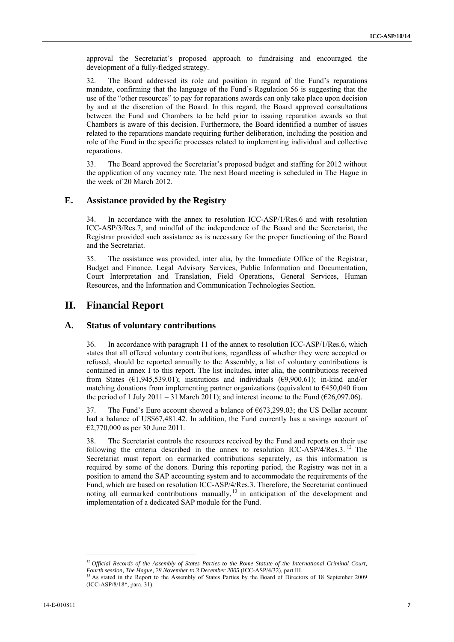approval the Secretariat's proposed approach to fundraising and encouraged the development of a fully-fledged strategy.

32. The Board addressed its role and position in regard of the Fund's reparations mandate, confirming that the language of the Fund's Regulation 56 is suggesting that the use of the "other resources" to pay for reparations awards can only take place upon decision by and at the discretion of the Board. In this regard, the Board approved consultations between the Fund and Chambers to be held prior to issuing reparation awards so that Chambers is aware of this decision. Furthermore, the Board identified a number of issues related to the reparations mandate requiring further deliberation, including the position and role of the Fund in the specific processes related to implementing individual and collective reparations.

33. The Board approved the Secretariat's proposed budget and staffing for 2012 without the application of any vacancy rate. The next Board meeting is scheduled in The Hague in the week of 20 March 2012.

### **E. Assistance provided by the Registry**

34. In accordance with the annex to resolution ICC-ASP/1/Res.6 and with resolution ICC-ASP/3/Res.7, and mindful of the independence of the Board and the Secretariat, the Registrar provided such assistance as is necessary for the proper functioning of the Board and the Secretariat.

35. The assistance was provided, inter alia, by the Immediate Office of the Registrar, Budget and Finance, Legal Advisory Services, Public Information and Documentation, Court Interpretation and Translation, Field Operations, General Services, Human Resources, and the Information and Communication Technologies Section.

### **II. Financial Report**

#### **A. Status of voluntary contributions**

36. In accordance with paragraph 11 of the annex to resolution ICC-ASP/1/Res.6, which states that all offered voluntary contributions, regardless of whether they were accepted or refused, should be reported annually to the Assembly, a list of voluntary contributions is contained in annex I to this report. The list includes, inter alia, the contributions received from States ( $\epsilon$ 1,945,539.01); institutions and individuals ( $\epsilon$ 9,900.61); in-kind and/or matching donations from implementing partner organizations (equivalent to €450,040 from the period of 1 July 2011 – 31 March 2011); and interest income to the Fund ( $\epsilon$ 26,097.06).

37. The Fund's Euro account showed a balance of €673,299.03; the US Dollar account had a balance of US\$67,481.42. In addition, the Fund currently has a savings account of €2,770,000 as per 30 June 2011.

38. The Secretariat controls the resources received by the Fund and reports on their use following the criteria described in the annex to resolution ICC-ASP/4/Res.3.<sup>12</sup> The Secretariat must report on earmarked contributions separately, as this information is required by some of the donors. During this reporting period, the Registry was not in a position to amend the SAP accounting system and to accommodate the requirements of the Fund, which are based on resolution ICC-ASP/4/Res.3. Therefore, the Secretariat continued noting all earmarked contributions manually,  $\frac{13}{13}$  in anticipation of the development and implementation of a dedicated SAP module for the Fund.

 $\overline{\phantom{a}}$ 

<sup>&</sup>lt;sup>12</sup> *Official Records of the Assembly of States Parties to the Rome Statute of the International Criminal Court, Fourth session, The Hague, 28 November to 3 December 2005* (ICC-ASP/4/32), part III.<br><sup>13</sup> As stated in the Report to the Assembly of States Parties by the Board of Directors of 18 September 2009

<sup>(</sup>ICC-ASP/8/18\*, para. 31).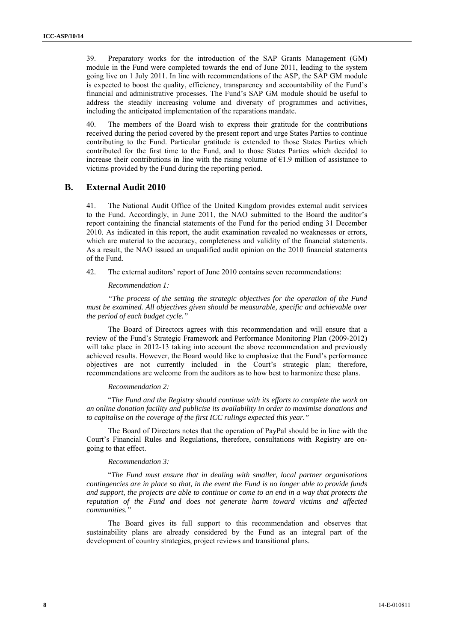39. Preparatory works for the introduction of the SAP Grants Management (GM) module in the Fund were completed towards the end of June 2011, leading to the system going live on 1 July 2011. In line with recommendations of the ASP, the SAP GM module is expected to boost the quality, efficiency, transparency and accountability of the Fund's financial and administrative processes. The Fund's SAP GM module should be useful to address the steadily increasing volume and diversity of programmes and activities, including the anticipated implementation of the reparations mandate.

40. The members of the Board wish to express their gratitude for the contributions received during the period covered by the present report and urge States Parties to continue contributing to the Fund. Particular gratitude is extended to those States Parties which contributed for the first time to the Fund, and to those States Parties which decided to increase their contributions in line with the rising volume of  $E1.9$  million of assistance to victims provided by the Fund during the reporting period.

### **B. External Audit 2010**

41. The National Audit Office of the United Kingdom provides external audit services to the Fund. Accordingly, in June 2011, the NAO submitted to the Board the auditor's report containing the financial statements of the Fund for the period ending 31 December 2010. As indicated in this report, the audit examination revealed no weaknesses or errors, which are material to the accuracy, completeness and validity of the financial statements. As a result, the NAO issued an unqualified audit opinion on the 2010 financial statements of the Fund.

42. The external auditors' report of June 2010 contains seven recommendations:

*Recommendation 1:* 

*"The process of the setting the strategic objectives for the operation of the Fund must be examined. All objectives given should be measurable, specific and achievable over the period of each budget cycle."* 

The Board of Directors agrees with this recommendation and will ensure that a review of the Fund's Strategic Framework and Performance Monitoring Plan (2009-2012) will take place in 2012-13 taking into account the above recommendation and previously achieved results. However, the Board would like to emphasize that the Fund's performance objectives are not currently included in the Court's strategic plan; therefore, recommendations are welcome from the auditors as to how best to harmonize these plans.

#### *Recommendation 2:*

"*The Fund and the Registry should continue with its efforts to complete the work on an online donation facility and publicise its availability in order to maximise donations and to capitalise on the coverage of the first ICC rulings expected this year."* 

The Board of Directors notes that the operation of PayPal should be in line with the Court's Financial Rules and Regulations, therefore, consultations with Registry are ongoing to that effect.

#### *Recommendation 3:*

"*The Fund must ensure that in dealing with smaller, local partner organisations contingencies are in place so that, in the event the Fund is no longer able to provide funds and support, the projects are able to continue or come to an end in a way that protects the reputation of the Fund and does not generate harm toward victims and affected communities."* 

The Board gives its full support to this recommendation and observes that sustainability plans are already considered by the Fund as an integral part of the development of country strategies, project reviews and transitional plans.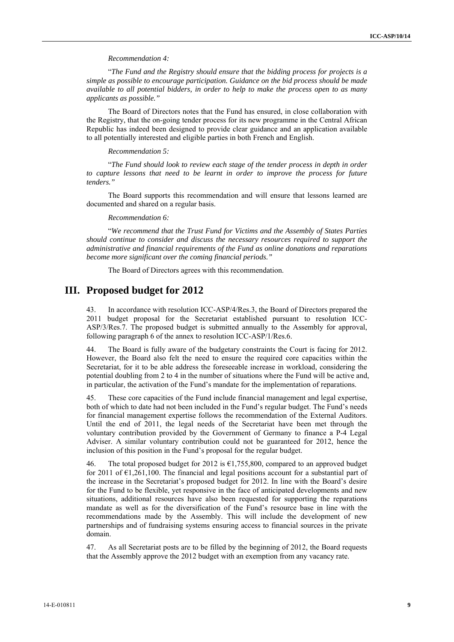#### *Recommendation 4:*

"*The Fund and the Registry should ensure that the bidding process for projects is a simple as possible to encourage participation. Guidance on the bid process should be made available to all potential bidders, in order to help to make the process open to as many applicants as possible."* 

The Board of Directors notes that the Fund has ensured, in close collaboration with the Registry, that the on-going tender process for its new programme in the Central African Republic has indeed been designed to provide clear guidance and an application available to all potentially interested and eligible parties in both French and English.

#### *Recommendation 5:*

"*The Fund should look to review each stage of the tender process in depth in order to capture lessons that need to be learnt in order to improve the process for future tenders."* 

The Board supports this recommendation and will ensure that lessons learned are documented and shared on a regular basis.

#### *Recommendation 6:*

"*We recommend that the Trust Fund for Victims and the Assembly of States Parties should continue to consider and discuss the necessary resources required to support the administrative and financial requirements of the Fund as online donations and reparations become more significant over the coming financial periods."* 

The Board of Directors agrees with this recommendation.

### **III. Proposed budget for 2012**

43. In accordance with resolution ICC-ASP/4/Res.3, the Board of Directors prepared the 2011 budget proposal for the Secretariat established pursuant to resolution ICC-ASP/3/Res.7. The proposed budget is submitted annually to the Assembly for approval, following paragraph 6 of the annex to resolution ICC-ASP/1/Res.6.

44. The Board is fully aware of the budgetary constraints the Court is facing for 2012. However, the Board also felt the need to ensure the required core capacities within the Secretariat, for it to be able address the foreseeable increase in workload, considering the potential doubling from 2 to 4 in the number of situations where the Fund will be active and, in particular, the activation of the Fund's mandate for the implementation of reparations.

45. These core capacities of the Fund include financial management and legal expertise, both of which to date had not been included in the Fund's regular budget. The Fund's needs for financial management expertise follows the recommendation of the External Auditors. Until the end of 2011, the legal needs of the Secretariat have been met through the voluntary contribution provided by the Government of Germany to finance a P-4 Legal Adviser. A similar voluntary contribution could not be guaranteed for 2012, hence the inclusion of this position in the Fund's proposal for the regular budget.

46. The total proposed budget for 2012 is  $\epsilon$ 1,755,800, compared to an approved budget for 2011 of  $E1,261,100$ . The financial and legal positions account for a substantial part of the increase in the Secretariat's proposed budget for 2012. In line with the Board's desire for the Fund to be flexible, yet responsive in the face of anticipated developments and new situations, additional resources have also been requested for supporting the reparations mandate as well as for the diversification of the Fund's resource base in line with the recommendations made by the Assembly. This will include the development of new partnerships and of fundraising systems ensuring access to financial sources in the private domain.

As all Secretariat posts are to be filled by the beginning of 2012, the Board requests that the Assembly approve the 2012 budget with an exemption from any vacancy rate.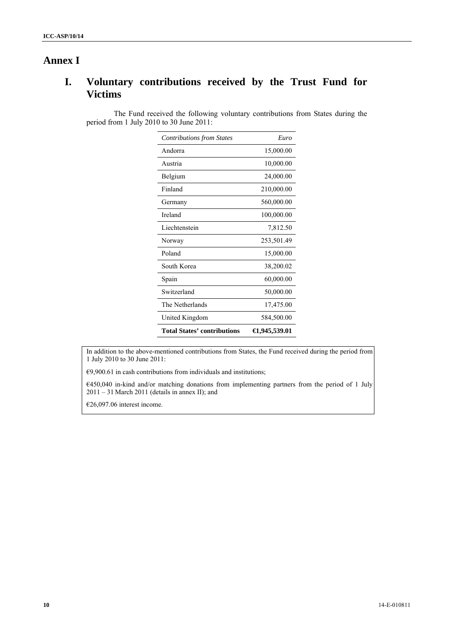## **Annex I**

# **I. Voluntary contributions received by the Trust Fund for Victims**

The Fund received the following voluntary contributions from States during the period from 1 July 2010 to 30 June 2011:

| <b>Contributions from States</b>   | Euro                      |
|------------------------------------|---------------------------|
| Andorra                            | 15,000.00                 |
| Austria                            | 10,000.00                 |
| Belgium                            | 24,000.00                 |
| Finland                            | 210,000.00                |
| Germany                            | 560,000.00                |
| Ireland                            | 100,000.00                |
| Liechtenstein                      | 7,812.50                  |
| Norway                             | 253,501.49                |
| Poland                             | 15,000.00                 |
| South Korea                        | 38,200.02                 |
| Spain                              | 60,000.00                 |
| Switzerland                        | 50,000.00                 |
| The Netherlands                    | 17,475.00                 |
| United Kingdom                     | 584,500.00                |
| <b>Total States' contributions</b> | $\bigoplus$ , 945, 539.01 |

In addition to the above-mentioned contributions from States, the Fund received during the period from 1 July 2010 to 30 June 2011:

 $€9,900.61$  in cash contributions from individuals and institutions;

€450,040 in-kind and/or matching donations from implementing partners from the period of 1 July 2011 – 31 March 2011 (details in annex II); and

€26,097.06 interest income.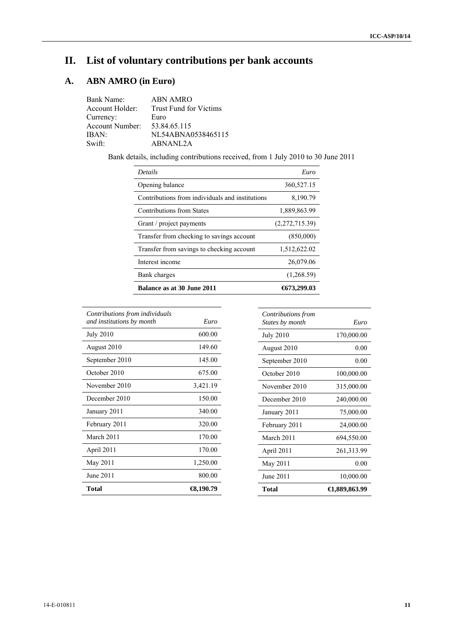# **II. List of voluntary contributions per bank accounts**

# **A. ABN AMRO (in Euro)**

| Bank Name:      | <b>ABN AMRO</b>               |
|-----------------|-------------------------------|
| Account Holder: | <b>Trust Fund for Victims</b> |
| Currency:       | Euro                          |
| Account Number: | 53.84.65.115                  |
| IBAN:           | NL54ABNA0538465115            |
| Swift:          | ABNANL2A                      |

Bank details, including contributions received, from 1 July 2010 to 30 June 2011

| <b>Details</b>                                  | Euro           |
|-------------------------------------------------|----------------|
| Opening balance                                 | 360,527.15     |
| Contributions from individuals and institutions | 8,190.79       |
| <b>Contributions from States</b>                | 1,889,863.99   |
| Grant / project payments                        | (2,272,715.39) |
| Transfer from checking to savings account       | (850,000)      |
| Transfer from savings to checking account       | 1,512,622.02   |
| Interest income                                 | 26,079.06      |
| Bank charges                                    | (1,268.59)     |
| <b>Balance as at 30 June 2011</b>               | 6573.299.03    |

| Contributions from individuals<br>and institutions by month | Euro                 |
|-------------------------------------------------------------|----------------------|
| <b>July 2010</b>                                            | 600.00               |
| August 2010                                                 | 149.60               |
| September 2010                                              | 145.00               |
| October 2010                                                | 675.00               |
| November 2010                                               | 3,421.19             |
| December 2010                                               | 150.00               |
| January 2011                                                | 340.00               |
| February 2011                                               | 320.00               |
| March 2011                                                  | 170.00               |
| April 2011                                                  | 170.00               |
| May 2011                                                    | 1,250.00             |
| June 2011                                                   | 800.00               |
| Total                                                       | $\bigoplus$ , 190.79 |

| Contributions from<br>States by month | Euro          |
|---------------------------------------|---------------|
|                                       |               |
| <b>July 2010</b>                      | 170,000.00    |
| August 2010                           | 0.00          |
| September 2010                        | 0.00          |
| October 2010                          | 100,000.00    |
| November 2010                         | 315,000.00    |
| December 2010                         | 240,000.00    |
| January 2011                          | 75,000.00     |
| February 2011                         | 24,000.00     |
| March 2011                            | 694,550.00    |
| April 2011                            | 261,313.99    |
| May 2011                              | 0.00          |
| June 2011                             | 10,000.00     |
| Total                                 | €1,889,863.99 |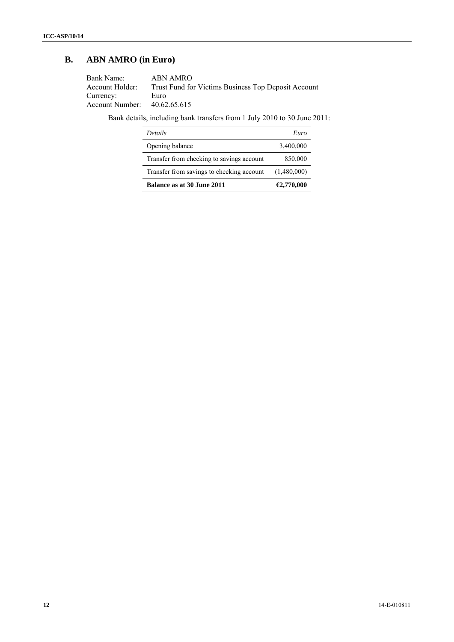## **B. ABN AMRO (in Euro)**

| Bank Name:                   | ABN AMRO                                            |
|------------------------------|-----------------------------------------------------|
| Account Holder:              | Trust Fund for Victims Business Top Deposit Account |
| Currency:                    | Euro                                                |
| Account Number: 40.62.65.615 |                                                     |
|                              |                                                     |

Bank details, including bank transfers from 1 July 2010 to 30 June 2011:

| <i>Details</i>                            | Euro        |
|-------------------------------------------|-------------|
| Opening balance                           | 3,400,000   |
| Transfer from checking to savings account | 850,000     |
| Transfer from savings to checking account | (1,480,000) |
| Balance as at 30 June 2011                | €2,770,000  |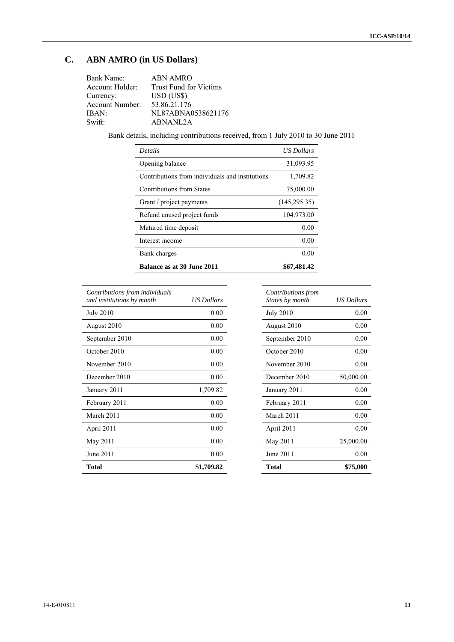# **C. ABN AMRO (in US Dollars)**

| Bank Name:             | <b>ABN AMRO</b>               |
|------------------------|-------------------------------|
| Account Holder:        | <b>Trust Fund for Victims</b> |
| Currency:              | $USD$ (US\$)                  |
| <b>Account Number:</b> | 53.86.21.176                  |
| IBAN:                  | NL87ABNA0538621176            |
| Swift:                 | ABNANL2A                      |

Bank details, including contributions received, from 1 July 2010 to 30 June 2011

| <i>Details</i>                                  | <b>US Dollars</b> |
|-------------------------------------------------|-------------------|
| Opening balance                                 | 31,093.95         |
| Contributions from individuals and institutions | 1,709.82          |
| Contributions from States                       | 75,000.00         |
| Grant / project payments                        | (145, 295, 35)    |
| Refund unused project funds                     | 104.973.00        |
| Matured time deposit                            | 0.00              |
| Interest income                                 | 0.00              |
| Bank charges                                    | 0.00              |
| <b>Balance as at 30 June 2011</b>               | \$67.481.42       |

| Contributions from individuals<br>and institutions by month | US Dollars |
|-------------------------------------------------------------|------------|
| <b>July 2010</b>                                            | 0.00       |
| August 2010                                                 | 0.00       |
| September 2010                                              | 0.00       |
| October 2010                                                | 0.00       |
| November 2010                                               | 0.00       |
| December 2010                                               | 0.00       |
| January 2011                                                | 1,709.82   |
| February 2011                                               | 0.00       |
| March 2011                                                  | 0.00       |
| April 2011                                                  | 0.00       |
| May 2011                                                    | 0.00       |
| June 2011                                                   | 0.00       |
| Total                                                       | \$1,709.82 |

| Contributions from<br>States by month | US Dollars |
|---------------------------------------|------------|
| <b>July 2010</b>                      | 0.00       |
| August 2010                           | 0.00       |
| September 2010                        | 0.00       |
| October 2010                          | 0.00       |
| November 2010                         | 0.00       |
| December 2010                         | 50,000.00  |
| January 2011                          | 0.00       |
| February 2011                         | 0.00       |
| March 2011                            | 0.00       |
| April 2011                            | 0.00       |
| May 2011                              | 25,000.00  |
| June 2011                             | 0.00       |
| <b>Total</b>                          | \$75,000   |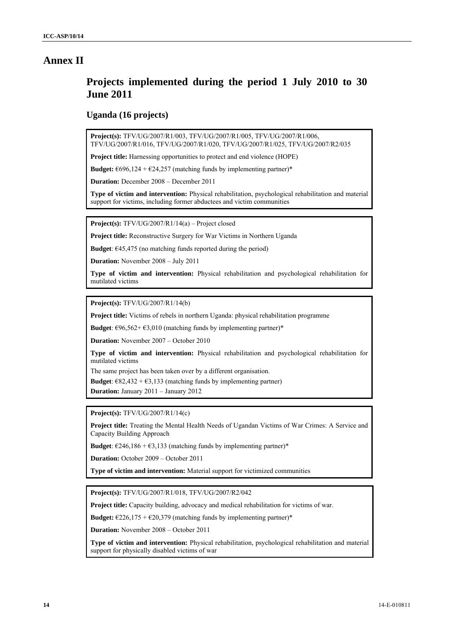## **Annex II**

# **Projects implemented during the period 1 July 2010 to 30 June 2011**

### **Uganda (16 projects)**

**Project(s):** TFV/UG/2007/R1/003, TFV/UG/2007/R1/005, TFV/UG/2007/R1/006, TFV/UG/2007/R1/016, TFV/UG/2007/R1/020, TFV/UG/2007/R1/025, TFV/UG/2007/R2/035

**Project title:** Harnessing opportunities to protect and end violence (HOPE)

**Budget:**  $\epsilon$ 696,124 +  $\epsilon$ 24,257 (matching funds by implementing partner)\*

**Duration:** December 2008 – December 2011

**Type of victim and intervention:** Physical rehabilitation, psychological rehabilitation and material support for victims, including former abductees and victim communities

**Project(s):** TFV/UG/2007/R1/14(a) – Project closed

**Project title:** Reconstructive Surgery for War Victims in Northern Uganda

**Budget**:  $\epsilon$ 45,475 (no matching funds reported during the period)

**Duration:** November 2008 – July 2011

**Type of victim and intervention:** Physical rehabilitation and psychological rehabilitation for mutilated victims

**Project(s):** TFV/UG/2007/R1/14(b)

**Project title:** Victims of rebels in northern Uganda: physical rehabilitation programme

**Budget**:  $\epsilon$ 96,562+ $\epsilon$ 3,010 (matching funds by implementing partner)\*

**Duration:** November 2007 – October 2010

**Type of victim and intervention:** Physical rehabilitation and psychological rehabilitation for mutilated victims

The same project has been taken over by a different organisation.

**Budget**:  $\epsilon$ 82,432 +  $\epsilon$ 3,133 (matching funds by implementing partner)

**Duration:** January 2011 – January 2012

**Project(s):** TFV/UG/2007/R1/14(c)

**Project title:** Treating the Mental Health Needs of Ugandan Victims of War Crimes: A Service and Capacity Building Approach

**Budget**:  $\epsilon$ 246,186 +  $\epsilon$ 3,133 (matching funds by implementing partner)\*

**Duration:** October 2009 – October 2011

**Type of victim and intervention:** Material support for victimized communities

**Project(s):** TFV/UG/2007/R1/018, TFV/UG/2007/R2/042

**Project title:** Capacity building, advocacy and medical rehabilitation for victims of war.

**Budget:**  $\epsilon$ 226,175 +  $\epsilon$ 20,379 (matching funds by implementing partner)\*

**Duration:** November 2008 – October 2011

**Type of victim and intervention:** Physical rehabilitation, psychological rehabilitation and material support for physically disabled victims of war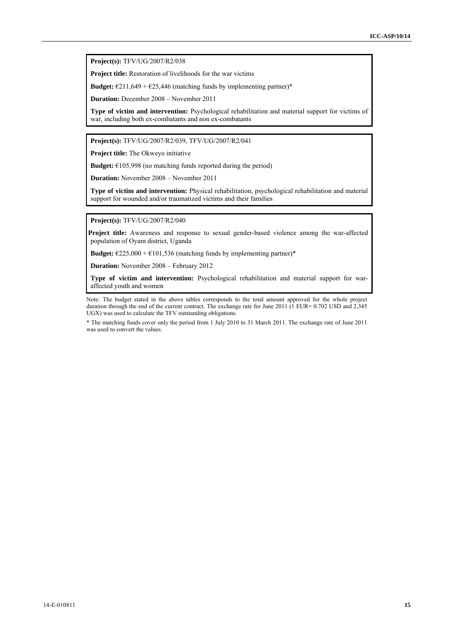**Project(s):** TFV/UG/2007/R2/038

**Project title:** Restoration of livelihoods for the war victims

**Budget:**  $\epsilon$ 211,649 +  $\epsilon$ 25,446 (matching funds by implementing partner)\*

**Duration:** December 2008 – November 2011

**Type of victim and intervention:** Psychological rehabilitation and material support for victims of war, including both ex-combatants and non ex-combatants

**Project(s):** TFV/UG/2007/R2/039, TFV/UG/2007/R2/041

**Project title:** The Okweyo initiative

**Budget:**  $€105,998$  (no matching funds reported during the period)

**Duration:** November 2008 – November 2011

**Type of victim and intervention:** Physical rehabilitation, psychological rehabilitation and material support for wounded and/or traumatized victims and their families

**Project(s):** TFV/UG/2007/R2/040

**Project title:** Awareness and response to sexual gender-based violence among the war-affected population of Oyam district, Uganda

**Budget:**  $\epsilon$ 225,000 +  $\epsilon$ 101,536 (matching funds by implementing partner)\*

**Duration:** November 2008 – February 2012

**Type of victim and intervention:** Psychological rehabilitation and material support for waraffected youth and women

Note: The budget stated in the above tables corresponds to the total amount approved for the whole project duration through the end of the current contract. The exchange rate for June 2011  $(1 \text{ EUR} = 0.702 \text{ USD}$  and 2,345 UGX) was used to calculate the TFV outstanding obligations.

\* The matching funds cover only the period from 1 July 2010 to 31 March 2011. The exchange rate of June 2011 was used to convert the values.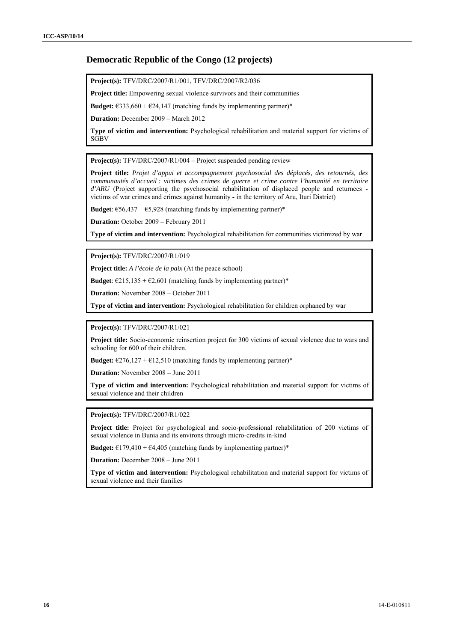### **Democratic Republic of the Congo (12 projects)**

**Project(s):** TFV/DRC/2007/R1/001, TFV/DRC/2007/R2/036

**Project title:** Empowering sexual violence survivors and their communities

**Budget:**  $\epsilon$ 333,660 +  $\epsilon$ 24,147 (matching funds by implementing partner)\*

**Duration:** December 2009 – March 2012

**Type of victim and intervention:** Psychological rehabilitation and material support for victims of **SGBV** 

**Project(s):** TFV/DRC/2007/R1/004 – Project suspended pending review

**Project title:** *Projet d'appui et accompagnement psychosocial des déplacés, des retournés, des communautés d'accueil : victimes des crimes de guerre et crime contre l'humanité en territoire d'ARU* (Project supporting the psychosocial rehabilitation of displaced people and returnees victims of war crimes and crimes against humanity - in the territory of Aru, Ituri District)

**Budget**:  $\epsilon$ 56,437 +  $\epsilon$ 5,928 (matching funds by implementing partner)\*

**Duration:** October 2009 – February 2011

**Type of victim and intervention:** Psychological rehabilitation for communities victimized by war

**Project(s):** TFV/DRC/2007/R1/019

**Project title:** *A l'école de la paix* (At the peace school)

**Budget:**  $\epsilon$ 215,135 +  $\epsilon$ 2,601 (matching funds by implementing partner)\*

**Duration:** November 2008 – October 2011

**Type of victim and intervention:** Psychological rehabilitation for children orphaned by war

**Project(s):** TFV/DRC/2007/R1/021

**Project title:** Socio-economic reinsertion project for 300 victims of sexual violence due to wars and schooling for 600 of their children.

**Budget:**  $\epsilon$ 276,127 +  $\epsilon$ 12,510 (matching funds by implementing partner)\*

**Duration:** November 2008 – June 2011

**Type of victim and intervention:** Psychological rehabilitation and material support for victims of sexual violence and their children

**Project(s):** TFV/DRC/2007/R1/022

**Project title:** Project for psychological and socio-professional rehabilitation of 200 victims of sexual violence in Bunia and its environs through micro-credits in-kind

**Budget:**  $\epsilon$ 179,410 +  $\epsilon$ 4,405 (matching funds by implementing partner)\*

**Duration:** December 2008 – June 2011

**Type of victim and intervention:** Psychological rehabilitation and material support for victims of sexual violence and their families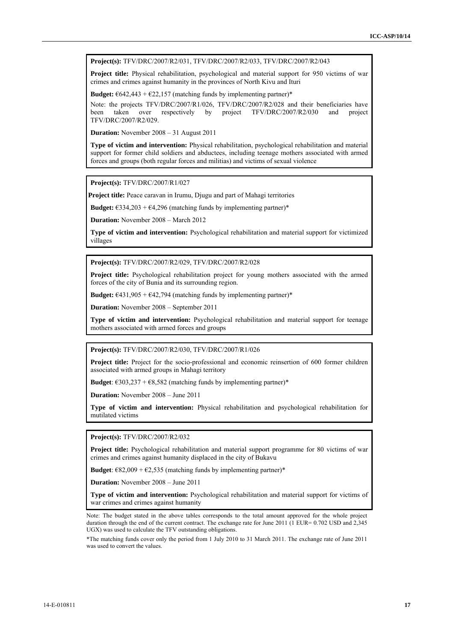**Project(s):** TFV/DRC/2007/R2/031, TFV/DRC/2007/R2/033, TFV/DRC/2007/R2/043

**Project title:** Physical rehabilitation, psychological and material support for 950 victims of war crimes and crimes against humanity in the provinces of North Kivu and Ituri

**Budget:**  $\epsilon$ 642,443 +  $\epsilon$ 22,157 (matching funds by implementing partner)\*

Note: the projects TFV/DRC/2007/R1/026, TFV/DRC/2007/R2/028 and their beneficiaries have<br>been taken over respectively by project TFV/DRC/2007/R2/030 and project project  $TFV/DRC/2007/R2/030$  and project TFV/DRC/2007/R2/029.

**Duration:** November 2008 – 31 August 2011

**Type of victim and intervention:** Physical rehabilitation, psychological rehabilitation and material support for former child soldiers and abductees, including teenage mothers associated with armed forces and groups (both regular forces and militias) and victims of sexual violence

**Project(s):** TFV/DRC/2007/R1/027

**Project title:** Peace caravan in Irumu, Djugu and part of Mahagi territories

**Budget:**  $\epsilon$ 334,203 +  $\epsilon$ 4,296 (matching funds by implementing partner)\*

**Duration:** November 2008 – March 2012

**Type of victim and intervention:** Psychological rehabilitation and material support for victimized villages

**Project(s):** TFV/DRC/2007/R2/029, TFV/DRC/2007/R2/028

**Project title:** Psychological rehabilitation project for young mothers associated with the armed forces of the city of Bunia and its surrounding region.

**Budget:**  $\epsilon$ 431,905 +  $\epsilon$ 42,794 (matching funds by implementing partner)\*

**Duration:** November 2008 – September 2011

**Type of victim and intervention:** Psychological rehabilitation and material support for teenage mothers associated with armed forces and groups

**Project(s):** TFV/DRC/2007/R2/030, TFV/DRC/2007/R1/026

**Project title:** Project for the socio-professional and economic reinsertion of 600 former children associated with armed groups in Mahagi territory

**Budget**:  $\epsilon$ 303,237 +  $\epsilon$ 8,582 (matching funds by implementing partner)\*

**Duration:** November 2008 – June 2011

**Type of victim and intervention:** Physical rehabilitation and psychological rehabilitation for mutilated victims

**Project(s):** TFV/DRC/2007/R2/032

**Project title:** Psychological rehabilitation and material support programme for 80 victims of war crimes and crimes against humanity displaced in the city of Bukavu

**Budget**:  $\epsilon$ 82,009 +  $\epsilon$ 2,535 (matching funds by implementing partner)\*

**Duration:** November 2008 – June 2011

**Type of victim and intervention:** Psychological rehabilitation and material support for victims of war crimes and crimes against humanity

Note: The budget stated in the above tables corresponds to the total amount approved for the whole project duration through the end of the current contract. The exchange rate for June 2011 (1 EUR= 0.702 USD and 2,345 UGX) was used to calculate the TFV outstanding obligations.

\*The matching funds cover only the period from 1 July 2010 to 31 March 2011. The exchange rate of June 2011 was used to convert the values.